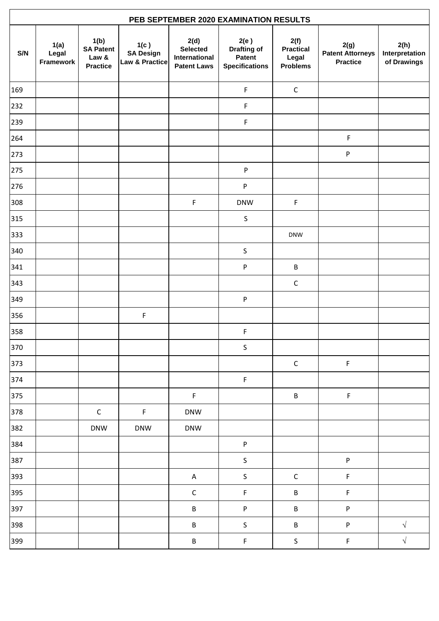| PEB SEPTEMBER 2020 EXAMINATION RESULTS |                            |                                                      |                                            |                                                                |                                                               |                                                      |                                                    |                                       |  |
|----------------------------------------|----------------------------|------------------------------------------------------|--------------------------------------------|----------------------------------------------------------------|---------------------------------------------------------------|------------------------------------------------------|----------------------------------------------------|---------------------------------------|--|
| S/N                                    | 1(a)<br>Legal<br>Framework | 1(b)<br><b>SA Patent</b><br>Law &<br><b>Practice</b> | 1(c)<br><b>SA Design</b><br>Law & Practice | 2(d)<br><b>Selected</b><br>International<br><b>Patent Laws</b> | 2(e)<br><b>Drafting of</b><br>Patent<br><b>Specifications</b> | 2(f)<br><b>Practical</b><br>Legal<br><b>Problems</b> | 2(g)<br><b>Patent Attorneys</b><br><b>Practice</b> | 2(h)<br>Interpretation<br>of Drawings |  |
| 169                                    |                            |                                                      |                                            |                                                                | $\mathsf F$                                                   | $\mathsf C$                                          |                                                    |                                       |  |
| 232                                    |                            |                                                      |                                            |                                                                | $\mathsf F$                                                   |                                                      |                                                    |                                       |  |
| 239                                    |                            |                                                      |                                            |                                                                | $\mathsf F$                                                   |                                                      |                                                    |                                       |  |
| 264                                    |                            |                                                      |                                            |                                                                |                                                               |                                                      | $\mathsf F$                                        |                                       |  |
| 273                                    |                            |                                                      |                                            |                                                                |                                                               |                                                      | P                                                  |                                       |  |
| 275                                    |                            |                                                      |                                            |                                                                | P                                                             |                                                      |                                                    |                                       |  |
| 276                                    |                            |                                                      |                                            |                                                                | $\sf P$                                                       |                                                      |                                                    |                                       |  |
| 308                                    |                            |                                                      |                                            | $\mathsf F$                                                    | <b>DNW</b>                                                    | $\mathsf F$                                          |                                                    |                                       |  |
| 315                                    |                            |                                                      |                                            |                                                                | $\sf S$                                                       |                                                      |                                                    |                                       |  |
| 333                                    |                            |                                                      |                                            |                                                                |                                                               | <b>DNW</b>                                           |                                                    |                                       |  |
| 340                                    |                            |                                                      |                                            |                                                                | $\sf S$                                                       |                                                      |                                                    |                                       |  |
| 341                                    |                            |                                                      |                                            |                                                                | ${\sf P}$                                                     | $\sf B$                                              |                                                    |                                       |  |
| 343                                    |                            |                                                      |                                            |                                                                |                                                               | $\mathsf C$                                          |                                                    |                                       |  |
| 349                                    |                            |                                                      |                                            |                                                                | ${\sf P}$                                                     |                                                      |                                                    |                                       |  |
| 356                                    |                            |                                                      | $\mathsf F$                                |                                                                |                                                               |                                                      |                                                    |                                       |  |
| 358                                    |                            |                                                      |                                            |                                                                | $\mathsf F$                                                   |                                                      |                                                    |                                       |  |
| 370                                    |                            |                                                      |                                            |                                                                | $\sf S$                                                       |                                                      |                                                    |                                       |  |
| 373                                    |                            |                                                      |                                            |                                                                |                                                               | $\mathsf C$                                          | $\mathsf F$                                        |                                       |  |
| 374                                    |                            |                                                      |                                            |                                                                | $\mathsf F$                                                   |                                                      |                                                    |                                       |  |
| 375                                    |                            |                                                      |                                            | $\mathsf F$                                                    |                                                               | $\sf B$                                              | $\mathsf F$                                        |                                       |  |
| 378                                    |                            | $\mathsf C$                                          | F                                          | <b>DNW</b>                                                     |                                                               |                                                      |                                                    |                                       |  |
| 382                                    |                            | <b>DNW</b>                                           | <b>DNW</b>                                 | <b>DNW</b>                                                     |                                                               |                                                      |                                                    |                                       |  |
| 384                                    |                            |                                                      |                                            |                                                                | $\sf P$                                                       |                                                      |                                                    |                                       |  |
| 387                                    |                            |                                                      |                                            |                                                                | $\mathsf S$                                                   |                                                      | P                                                  |                                       |  |
| 393                                    |                            |                                                      |                                            | $\mathsf{A}$                                                   | $\sf S$                                                       | $\mathsf C$                                          | F                                                  |                                       |  |
| 395                                    |                            |                                                      |                                            | $\mathsf C$                                                    | $\mathsf F$                                                   | $\sf B$                                              | $\mathsf F$                                        |                                       |  |
| 397                                    |                            |                                                      |                                            | B                                                              | P                                                             | B                                                    | P                                                  |                                       |  |
| 398                                    |                            |                                                      |                                            | B                                                              | $\sf S$                                                       | B                                                    | P                                                  | $\sqrt{2}$                            |  |
| 399                                    |                            |                                                      |                                            | $\sf B$                                                        | $\mathsf F$                                                   | $\sf S$                                              | $\mathsf F$                                        | $\sqrt{}$                             |  |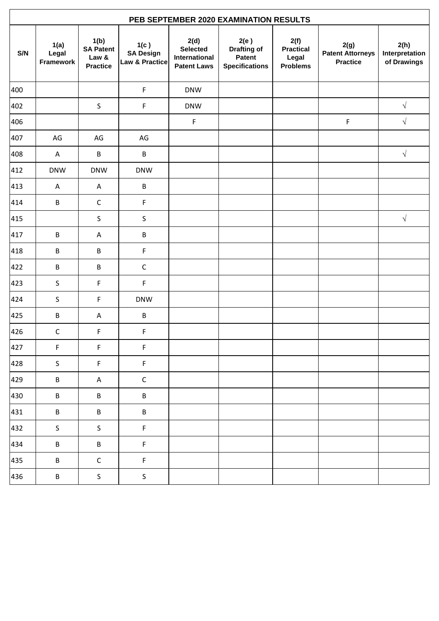| PEB SEPTEMBER 2020 EXAMINATION RESULTS |                                                      |                                            |                                                                |                                                                      |                                                      |                                                    |                                       |  |  |
|----------------------------------------|------------------------------------------------------|--------------------------------------------|----------------------------------------------------------------|----------------------------------------------------------------------|------------------------------------------------------|----------------------------------------------------|---------------------------------------|--|--|
| 1(a)<br>Legal<br>Framework             | 1(b)<br><b>SA Patent</b><br>Law &<br><b>Practice</b> | 1(c)<br><b>SA Design</b><br>Law & Practice | 2(d)<br><b>Selected</b><br>International<br><b>Patent Laws</b> | 2(e)<br><b>Drafting of</b><br><b>Patent</b><br><b>Specifications</b> | 2(f)<br><b>Practical</b><br>Legal<br><b>Problems</b> | 2(g)<br><b>Patent Attorneys</b><br><b>Practice</b> | 2(h)<br>Interpretation<br>of Drawings |  |  |
|                                        |                                                      | $\mathsf F$                                | <b>DNW</b>                                                     |                                                                      |                                                      |                                                    |                                       |  |  |
|                                        | $\sf S$                                              | F                                          | <b>DNW</b>                                                     |                                                                      |                                                      |                                                    | $\sqrt{}$                             |  |  |
|                                        |                                                      |                                            | $\mathsf F$                                                    |                                                                      |                                                      | $\mathsf F$                                        | $\sqrt{2}$                            |  |  |
| AG                                     | AG                                                   | AG                                         |                                                                |                                                                      |                                                      |                                                    |                                       |  |  |
| Α                                      | $\sf B$                                              | B                                          |                                                                |                                                                      |                                                      |                                                    | $\sqrt{ }$                            |  |  |
| <b>DNW</b>                             | <b>DNW</b>                                           | <b>DNW</b>                                 |                                                                |                                                                      |                                                      |                                                    |                                       |  |  |
| Α                                      | A                                                    | $\sf B$                                    |                                                                |                                                                      |                                                      |                                                    |                                       |  |  |
| $\sf B$                                | $\mathsf C$                                          | $\mathsf F$                                |                                                                |                                                                      |                                                      |                                                    |                                       |  |  |
|                                        | $\sf S$                                              | $\sf S$                                    |                                                                |                                                                      |                                                      |                                                    | $\sqrt{ }$                            |  |  |
| $\sf B$                                | A                                                    | $\sf B$                                    |                                                                |                                                                      |                                                      |                                                    |                                       |  |  |
| B                                      | B                                                    | $\mathsf F$                                |                                                                |                                                                      |                                                      |                                                    |                                       |  |  |
| $\sf B$                                | $\sf B$                                              | $\mathsf C$                                |                                                                |                                                                      |                                                      |                                                    |                                       |  |  |
| S                                      | F                                                    | F                                          |                                                                |                                                                      |                                                      |                                                    |                                       |  |  |
| $\sf S$                                | F                                                    | <b>DNW</b>                                 |                                                                |                                                                      |                                                      |                                                    |                                       |  |  |
| $\sf B$                                | A                                                    | $\sf B$                                    |                                                                |                                                                      |                                                      |                                                    |                                       |  |  |
| $\mathsf C$                            | F                                                    | $\mathsf F$                                |                                                                |                                                                      |                                                      |                                                    |                                       |  |  |
| $\mathsf F$                            | $\mathsf F$                                          | $\mathsf F$                                |                                                                |                                                                      |                                                      |                                                    |                                       |  |  |
| $\sf S$                                | F                                                    | $\mathsf F$                                |                                                                |                                                                      |                                                      |                                                    |                                       |  |  |
| $\sf B$                                | A                                                    | $\mathsf C$                                |                                                                |                                                                      |                                                      |                                                    |                                       |  |  |
| $\sf B$                                | $\sf B$                                              | $\sf B$                                    |                                                                |                                                                      |                                                      |                                                    |                                       |  |  |
| $\sf B$                                | $\sf B$                                              | $\sf B$                                    |                                                                |                                                                      |                                                      |                                                    |                                       |  |  |
| $\sf S$                                | $\mathsf{S}$                                         | $\mathsf F$                                |                                                                |                                                                      |                                                      |                                                    |                                       |  |  |
| $\sf B$                                | $\sf B$                                              | $\mathsf F$                                |                                                                |                                                                      |                                                      |                                                    |                                       |  |  |
| $\sf B$                                | $\mathsf C$                                          | $\mathsf F$                                |                                                                |                                                                      |                                                      |                                                    |                                       |  |  |
| $\sf B$                                | $\sf S$                                              | $\mathsf S$                                |                                                                |                                                                      |                                                      |                                                    |                                       |  |  |
|                                        |                                                      |                                            |                                                                |                                                                      |                                                      |                                                    |                                       |  |  |